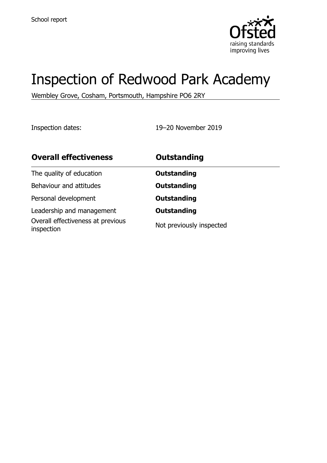

# Inspection of Redwood Park Academy

Wembley Grove, Cosham, Portsmouth, Hampshire PO6 2RY

Inspection dates: 19–20 November 2019

| <b>Overall effectiveness</b>                    | <b>Outstanding</b>       |
|-------------------------------------------------|--------------------------|
| The quality of education                        | <b>Outstanding</b>       |
| Behaviour and attitudes                         | <b>Outstanding</b>       |
| Personal development                            | <b>Outstanding</b>       |
| Leadership and management                       | <b>Outstanding</b>       |
| Overall effectiveness at previous<br>inspection | Not previously inspected |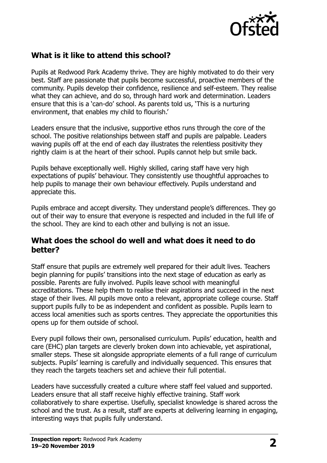

### **What is it like to attend this school?**

Pupils at Redwood Park Academy thrive. They are highly motivated to do their very best. Staff are passionate that pupils become successful, proactive members of the community. Pupils develop their confidence, resilience and self-esteem. They realise what they can achieve, and do so, through hard work and determination. Leaders ensure that this is a 'can-do' school. As parents told us, 'This is a nurturing environment, that enables my child to flourish.'

Leaders ensure that the inclusive, supportive ethos runs through the core of the school. The positive relationships between staff and pupils are palpable. Leaders waving pupils off at the end of each day illustrates the relentless positivity they rightly claim is at the heart of their school. Pupils cannot help but smile back.

Pupils behave exceptionally well. Highly skilled, caring staff have very high expectations of pupils' behaviour. They consistently use thoughtful approaches to help pupils to manage their own behaviour effectively. Pupils understand and appreciate this.

Pupils embrace and accept diversity. They understand people's differences. They go out of their way to ensure that everyone is respected and included in the full life of the school. They are kind to each other and bullying is not an issue.

#### **What does the school do well and what does it need to do better?**

Staff ensure that pupils are extremely well prepared for their adult lives. Teachers begin planning for pupils' transitions into the next stage of education as early as possible. Parents are fully involved. Pupils leave school with meaningful accreditations. These help them to realise their aspirations and succeed in the next stage of their lives. All pupils move onto a relevant, appropriate college course. Staff support pupils fully to be as independent and confident as possible. Pupils learn to access local amenities such as sports centres. They appreciate the opportunities this opens up for them outside of school.

Every pupil follows their own, personalised curriculum. Pupils' education, health and care (EHC) plan targets are cleverly broken down into achievable, yet aspirational, smaller steps. These sit alongside appropriate elements of a full range of curriculum subjects. Pupils' learning is carefully and individually sequenced. This ensures that they reach the targets teachers set and achieve their full potential.

Leaders have successfully created a culture where staff feel valued and supported. Leaders ensure that all staff receive highly effective training. Staff work collaboratively to share expertise. Usefully, specialist knowledge is shared across the school and the trust. As a result, staff are experts at delivering learning in engaging, interesting ways that pupils fully understand.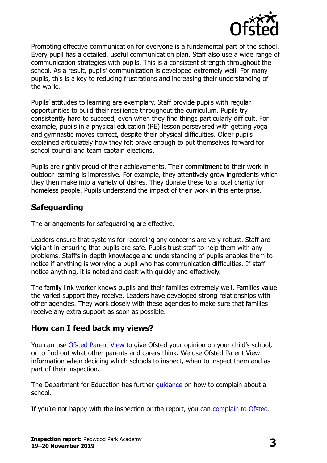

Promoting effective communication for everyone is a fundamental part of the school. Every pupil has a detailed, useful communication plan. Staff also use a wide range of communication strategies with pupils. This is a consistent strength throughout the school. As a result, pupils' communication is developed extremely well. For many pupils, this is a key to reducing frustrations and increasing their understanding of the world.

Pupils' attitudes to learning are exemplary. Staff provide pupils with regular opportunities to build their resilience throughout the curriculum. Pupils try consistently hard to succeed, even when they find things particularly difficult. For example, pupils in a physical education (PE) lesson persevered with getting yoga and gymnastic moves correct, despite their physical difficulties. Older pupils explained articulately how they felt brave enough to put themselves forward for school council and team captain elections.

Pupils are rightly proud of their achievements. Their commitment to their work in outdoor learning is impressive. For example, they attentively grow ingredients which they then make into a variety of dishes. They donate these to a local charity for homeless people. Pupils understand the impact of their work in this enterprise.

# **Safeguarding**

The arrangements for safeguarding are effective.

Leaders ensure that systems for recording any concerns are very robust. Staff are vigilant in ensuring that pupils are safe. Pupils trust staff to help them with any problems. Staff's in-depth knowledge and understanding of pupils enables them to notice if anything is worrying a pupil who has communication difficulties. If staff notice anything, it is noted and dealt with quickly and effectively.

The family link worker knows pupils and their families extremely well. Families value the varied support they receive. Leaders have developed strong relationships with other agencies. They work closely with these agencies to make sure that families receive any extra support as soon as possible.

#### **How can I feed back my views?**

You can use [Ofsted Parent View](http://parentview.ofsted.gov.uk/) to give Ofsted your opinion on your child's school, or to find out what other parents and carers think. We use Ofsted Parent View information when deciding which schools to inspect, when to inspect them and as part of their inspection.

The Department for Education has further *guidance* on how to complain about a school.

If you're not happy with the inspection or the report, you can [complain to Ofsted.](http://www.gov.uk/complain-ofsted-report)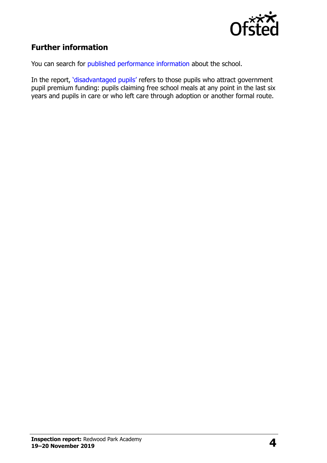

# **Further information**

You can search for [published performance information](http://www.compare-school-performance.service.gov.uk/) about the school.

In the report, '[disadvantaged pupils](http://www.gov.uk/guidance/pupil-premium-information-for-schools-and-alternative-provision-settings)' refers to those pupils who attract government pupil premium funding: pupils claiming free school meals at any point in the last six years and pupils in care or who left care through adoption or another formal route.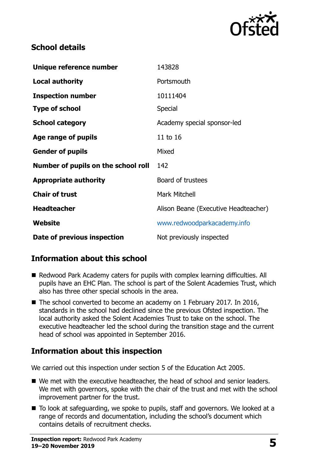

### **School details**

| Unique reference number             | 143828                               |
|-------------------------------------|--------------------------------------|
| <b>Local authority</b>              | Portsmouth                           |
| <b>Inspection number</b>            | 10111404                             |
| <b>Type of school</b>               | <b>Special</b>                       |
| <b>School category</b>              | Academy special sponsor-led          |
| Age range of pupils                 | 11 to 16                             |
| <b>Gender of pupils</b>             | Mixed                                |
| Number of pupils on the school roll | 142                                  |
| <b>Appropriate authority</b>        | Board of trustees                    |
| <b>Chair of trust</b>               | <b>Mark Mitchell</b>                 |
| <b>Headteacher</b>                  | Alison Beane (Executive Headteacher) |
| Website                             | www.redwoodparkacademy.info          |
| Date of previous inspection         | Not previously inspected             |

# **Information about this school**

- Redwood Park Academy caters for pupils with complex learning difficulties. All pupils have an EHC Plan. The school is part of the Solent Academies Trust, which also has three other special schools in the area.
- The school converted to become an academy on 1 February 2017. In 2016, standards in the school had declined since the previous Ofsted inspection. The local authority asked the Solent Academies Trust to take on the school. The executive headteacher led the school during the transition stage and the current head of school was appointed in September 2016.

# **Information about this inspection**

We carried out this inspection under section 5 of the Education Act 2005.

- We met with the executive headteacher, the head of school and senior leaders. We met with governors, spoke with the chair of the trust and met with the school improvement partner for the trust.
- To look at safeguarding, we spoke to pupils, staff and governors. We looked at a range of records and documentation, including the school's document which contains details of recruitment checks.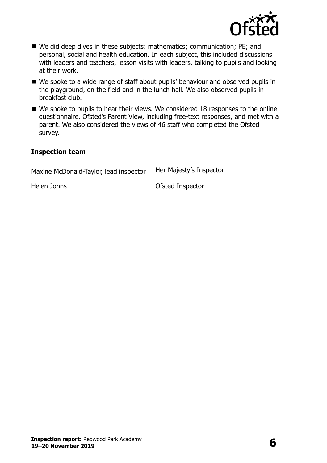

- We did deep dives in these subjects: mathematics; communication; PE; and personal, social and health education. In each subject, this included discussions with leaders and teachers, lesson visits with leaders, talking to pupils and looking at their work.
- We spoke to a wide range of staff about pupils' behaviour and observed pupils in the playground, on the field and in the lunch hall. We also observed pupils in breakfast club.
- We spoke to pupils to hear their views. We considered 18 responses to the online questionnaire, Ofsted's Parent View, including free-text responses, and met with a parent. We also considered the views of 46 staff who completed the Ofsted survey.

#### **Inspection team**

| Maxine McDonald-Taylor, lead inspector | Her Majesty's Inspector |
|----------------------------------------|-------------------------|
| Helen Johns                            | Ofsted Inspector        |